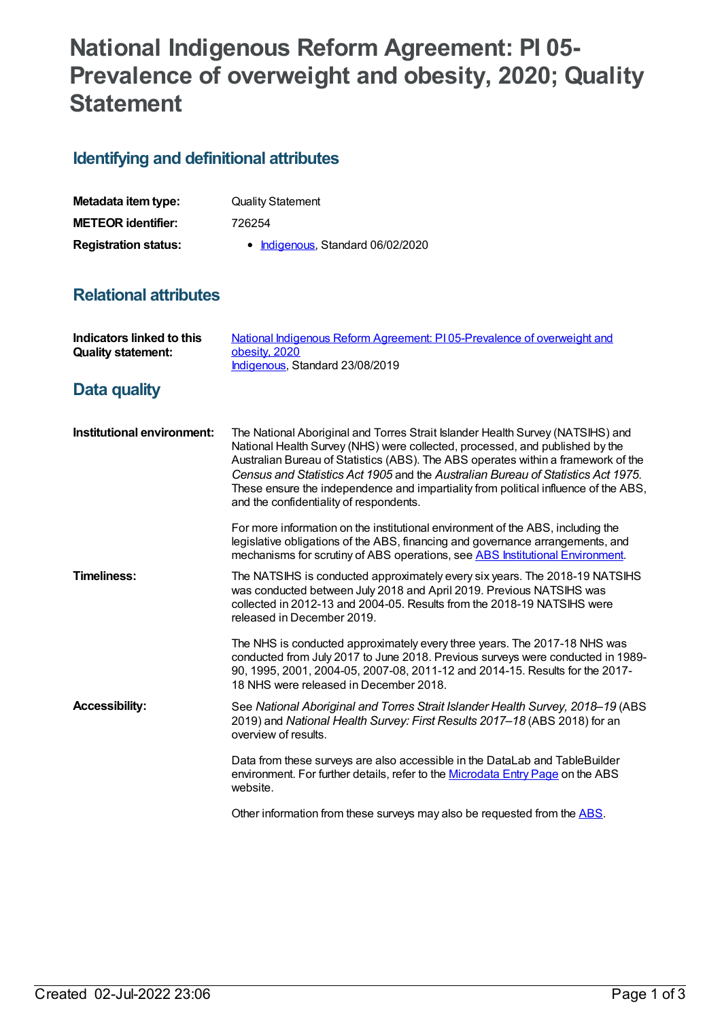## **National Indigenous Reform Agreement: PI 05- Prevalence of overweight and obesity, 2020; Quality Statement**

## **Identifying and definitional attributes**

| Metadata item type:         | <b>Quality Statement</b>          |
|-----------------------------|-----------------------------------|
| <b>METEOR identifier:</b>   | 726254                            |
| <b>Registration status:</b> | • Indigenous, Standard 06/02/2020 |

## **Relational attributes**

| <b>Indicators linked to this</b><br><b>Quality statement:</b> | National Indigenous Reform Agreement: PI05-Prevalence of overweight and<br>obesity, 2020<br>Indigenous, Standard 23/08/2019                                                                                                                                                                                                                                                                                                                                               |
|---------------------------------------------------------------|---------------------------------------------------------------------------------------------------------------------------------------------------------------------------------------------------------------------------------------------------------------------------------------------------------------------------------------------------------------------------------------------------------------------------------------------------------------------------|
| <b>Data quality</b>                                           |                                                                                                                                                                                                                                                                                                                                                                                                                                                                           |
| Institutional environment:                                    | The National Aboriginal and Torres Strait Islander Health Survey (NATSIHS) and<br>National Health Survey (NHS) were collected, processed, and published by the<br>Australian Bureau of Statistics (ABS). The ABS operates within a framework of the<br>Census and Statistics Act 1905 and the Australian Bureau of Statistics Act 1975.<br>These ensure the independence and impartiality from political influence of the ABS,<br>and the confidentiality of respondents. |
|                                                               | For more information on the institutional environment of the ABS, including the<br>legislative obligations of the ABS, financing and governance arrangements, and<br>mechanisms for scrutiny of ABS operations, see ABS Institutional Environment.                                                                                                                                                                                                                        |
| Timeliness:                                                   | The NATSIHS is conducted approximately every six years. The 2018-19 NATSIHS<br>was conducted between July 2018 and April 2019. Previous NATSIHS was<br>collected in 2012-13 and 2004-05. Results from the 2018-19 NATSIHS were<br>released in December 2019.                                                                                                                                                                                                              |
|                                                               | The NHS is conducted approximately every three years. The 2017-18 NHS was<br>conducted from July 2017 to June 2018. Previous surveys were conducted in 1989-<br>90, 1995, 2001, 2004-05, 2007-08, 2011-12 and 2014-15. Results for the 2017-<br>18 NHS were released in December 2018.                                                                                                                                                                                    |
| <b>Accessibility:</b>                                         | See National Aboriginal and Torres Strait Islander Health Survey, 2018–19 (ABS)<br>2019) and National Health Survey: First Results 2017-18 (ABS 2018) for an<br>overview of results.                                                                                                                                                                                                                                                                                      |
|                                                               | Data from these surveys are also accessible in the DataLab and TableBuilder<br>environment. For further details, refer to the Microdata Entry Page on the ABS<br>website.                                                                                                                                                                                                                                                                                                 |
|                                                               | Other information from these surveys may also be requested from the ABS.                                                                                                                                                                                                                                                                                                                                                                                                  |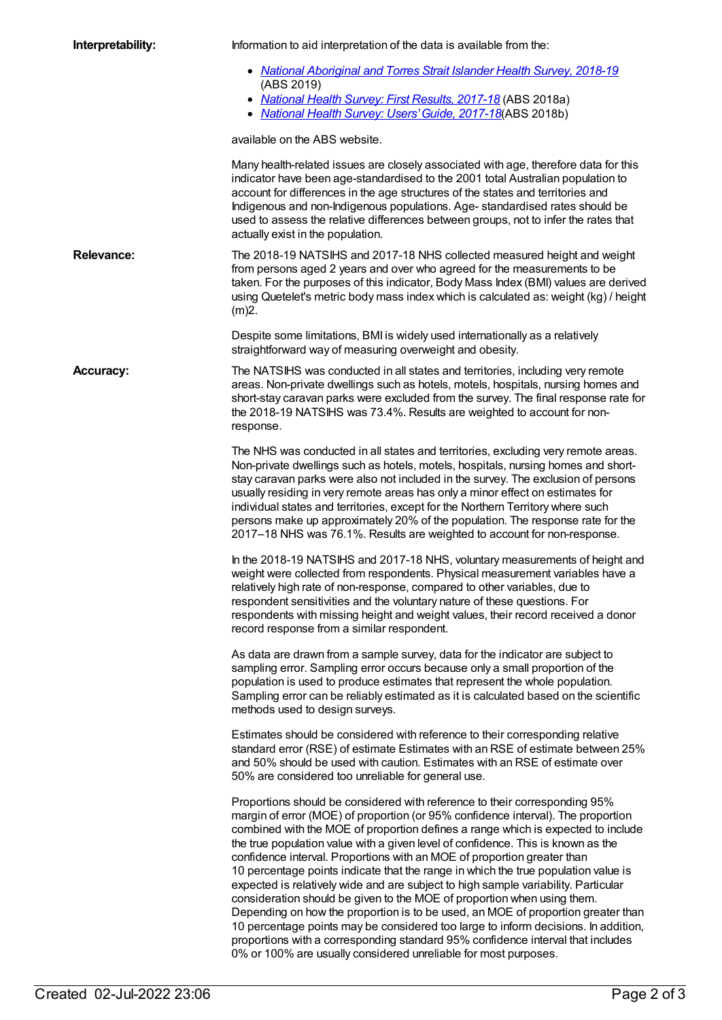| Interpretability: | Information to aid interpretation of the data is available from the:                                                                                                                                                                                                                                                                                                                                                                                                                                                                                                                                                                                                                                                                                                                                                                                                                                                                                                                                     |
|-------------------|----------------------------------------------------------------------------------------------------------------------------------------------------------------------------------------------------------------------------------------------------------------------------------------------------------------------------------------------------------------------------------------------------------------------------------------------------------------------------------------------------------------------------------------------------------------------------------------------------------------------------------------------------------------------------------------------------------------------------------------------------------------------------------------------------------------------------------------------------------------------------------------------------------------------------------------------------------------------------------------------------------|
|                   | • National Aboriginal and Torres Strait Islander Health Survey, 2018-19<br>(ABS 2019)<br>• National Health Survey: First Results, 2017-18 (ABS 2018a)<br>• National Health Survey: Users' Guide, 2017-18(ABS 2018b)                                                                                                                                                                                                                                                                                                                                                                                                                                                                                                                                                                                                                                                                                                                                                                                      |
|                   | available on the ABS website.                                                                                                                                                                                                                                                                                                                                                                                                                                                                                                                                                                                                                                                                                                                                                                                                                                                                                                                                                                            |
|                   | Many health-related issues are closely associated with age, therefore data for this<br>indicator have been age-standardised to the 2001 total Australian population to<br>account for differences in the age structures of the states and territories and<br>Indigenous and non-Indigenous populations. Age-standardised rates should be<br>used to assess the relative differences between groups, not to infer the rates that<br>actually exist in the population.                                                                                                                                                                                                                                                                                                                                                                                                                                                                                                                                     |
| <b>Relevance:</b> | The 2018-19 NATSIHS and 2017-18 NHS collected measured height and weight<br>from persons aged 2 years and over who agreed for the measurements to be<br>taken. For the purposes of this indicator, Body Mass Index (BMI) values are derived<br>using Quetelet's metric body mass index which is calculated as: weight (kg) / height<br>(m)2.                                                                                                                                                                                                                                                                                                                                                                                                                                                                                                                                                                                                                                                             |
|                   | Despite some limitations, BMI is widely used internationally as a relatively<br>straightforward way of measuring overweight and obesity.                                                                                                                                                                                                                                                                                                                                                                                                                                                                                                                                                                                                                                                                                                                                                                                                                                                                 |
| <b>Accuracy:</b>  | The NATSIHS was conducted in all states and territories, including very remote<br>areas. Non-private dwellings such as hotels, motels, hospitals, nursing homes and<br>short-stay caravan parks were excluded from the survey. The final response rate for<br>the 2018-19 NATSIHS was 73.4%. Results are weighted to account for non-<br>response.                                                                                                                                                                                                                                                                                                                                                                                                                                                                                                                                                                                                                                                       |
|                   | The NHS was conducted in all states and territories, excluding very remote areas.<br>Non-private dwellings such as hotels, motels, hospitals, nursing homes and short-<br>stay caravan parks were also not included in the survey. The exclusion of persons<br>usually residing in very remote areas has only a minor effect on estimates for<br>individual states and territories, except for the Northern Territory where such<br>persons make up approximately 20% of the population. The response rate for the<br>2017-18 NHS was 76.1%. Results are weighted to account for non-response.                                                                                                                                                                                                                                                                                                                                                                                                           |
|                   | In the 2018-19 NATSIHS and 2017-18 NHS, voluntary measurements of height and<br>weight were collected from respondents. Physical measurement variables have a<br>relatively high rate of non-response, compared to other variables, due to<br>respondent sensitivities and the voluntary nature of these questions. For<br>respondents with missing height and weight values, their record received a donor<br>record response from a similar respondent.                                                                                                                                                                                                                                                                                                                                                                                                                                                                                                                                                |
|                   | As data are drawn from a sample survey, data for the indicator are subject to<br>sampling error. Sampling error occurs because only a small proportion of the<br>population is used to produce estimates that represent the whole population.<br>Sampling error can be reliably estimated as it is calculated based on the scientific<br>methods used to design surveys.                                                                                                                                                                                                                                                                                                                                                                                                                                                                                                                                                                                                                                 |
|                   | Estimates should be considered with reference to their corresponding relative<br>standard error (RSE) of estimate Estimates with an RSE of estimate between 25%<br>and 50% should be used with caution. Estimates with an RSE of estimate over<br>50% are considered too unreliable for general use.                                                                                                                                                                                                                                                                                                                                                                                                                                                                                                                                                                                                                                                                                                     |
|                   | Proportions should be considered with reference to their corresponding 95%<br>margin of error (MOE) of proportion (or 95% confidence interval). The proportion<br>combined with the MOE of proportion defines a range which is expected to include<br>the true population value with a given level of confidence. This is known as the<br>confidence interval. Proportions with an MOE of proportion greater than<br>10 percentage points indicate that the range in which the true population value is<br>expected is relatively wide and are subject to high sample variability. Particular<br>consideration should be given to the MOE of proportion when using them.<br>Depending on how the proportion is to be used, an MOE of proportion greater than<br>10 percentage points may be considered too large to inform decisions. In addition,<br>proportions with a corresponding standard 95% confidence interval that includes<br>0% or 100% are usually considered unreliable for most purposes. |